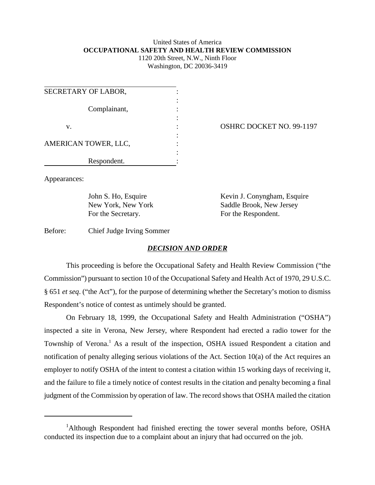## United States of America **OCCUPATIONAL SAFETY AND HEALTH REVIEW COMMISSION** 1120 20th Street, N.W., Ninth Floor

Washington, DC 20036-3419

| SECRETARY OF LABOR,  |  |
|----------------------|--|
| Complainant,         |  |
| v.                   |  |
| AMERICAN TOWER, LLC, |  |
| Respondent.          |  |

OSHRC DOCKET NO. 99-1197

Appearances:

For the Secretary. For the Respondent.

John S. Ho, Esquire Kevin J. Conyngham, Esquire New York, New York Saddle Brook, New Jersey

Before: Chief Judge Irving Sommer

## *DECISION AND ORDER*

This proceeding is before the Occupational Safety and Health Review Commission ("the Commission") pursuant to section 10 of the Occupational Safety and Health Act of 1970, 29 U.S.C. § 651 *et seq*. ("the Act"), for the purpose of determining whether the Secretary's motion to dismiss Respondent's notice of contest as untimely should be granted.

On February 18, 1999, the Occupational Safety and Health Administration ("OSHA") inspected a site in Verona, New Jersey, where Respondent had erected a radio tower for the Township of Verona.<sup>1</sup> As a result of the inspection, OSHA issued Respondent a citation and notification of penalty alleging serious violations of the Act. Section 10(a) of the Act requires an employer to notify OSHA of the intent to contest a citation within 15 working days of receiving it, and the failure to file a timely notice of contest results in the citation and penalty becoming a final judgment of the Commission by operation of law. The record shows that OSHA mailed the citation

<sup>&</sup>lt;sup>1</sup>Although Respondent had finished erecting the tower several months before, OSHA conducted its inspection due to a complaint about an injury that had occurred on the job.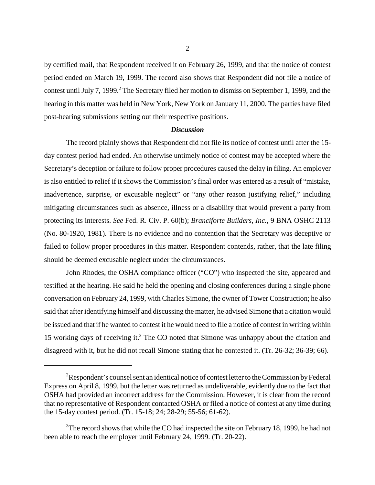by certified mail, that Respondent received it on February 26, 1999, and that the notice of contest period ended on March 19, 1999. The record also shows that Respondent did not file a notice of contest until July 7, 1999.<sup>2</sup> The Secretary filed her motion to dismiss on September 1, 1999, and the hearing in this matter was held in New York, New York on January 11, 2000. The parties have filed post-hearing submissions setting out their respective positions.

## *Discussion*

The record plainly shows that Respondent did not file its notice of contest until after the 15 day contest period had ended. An otherwise untimely notice of contest may be accepted where the Secretary's deception or failure to follow proper procedures caused the delay in filing. An employer is also entitled to relief if it shows the Commission's final order was entered as a result of "mistake, inadvertence, surprise, or excusable neglect" or "any other reason justifying relief," including mitigating circumstances such as absence, illness or a disability that would prevent a party from protecting its interests. *See* Fed. R. Civ. P. 60(b); *Branciforte Builders, Inc.*, 9 BNA OSHC 2113 (No. 80-1920, 1981). There is no evidence and no contention that the Secretary was deceptive or failed to follow proper procedures in this matter. Respondent contends, rather, that the late filing should be deemed excusable neglect under the circumstances.

John Rhodes, the OSHA compliance officer ("CO") who inspected the site, appeared and testified at the hearing. He said he held the opening and closing conferences during a single phone conversation on February 24, 1999, with Charles Simone, the owner of Tower Construction; he also said that after identifying himself and discussing the matter, he advised Simone that a citation would be issued and that if he wanted to contest it he would need to file a notice of contest in writing within 15 working days of receiving it.<sup>3</sup> The CO noted that Simone was unhappy about the citation and disagreed with it, but he did not recall Simone stating that he contested it. (Tr. 26-32; 36-39; 66).

 $2R$ espondent's counsel sent an identical notice of contest letter to the Commission by Federal Express on April 8, 1999, but the letter was returned as undeliverable, evidently due to the fact that OSHA had provided an incorrect address for the Commission. However, it is clear from the record that no representative of Respondent contacted OSHA or filed a notice of contest at any time during the 15-day contest period. (Tr. 15-18; 24; 28-29; 55-56; 61-62).

 $3$ The record shows that while the CO had inspected the site on February 18, 1999, he had not been able to reach the employer until February 24, 1999. (Tr. 20-22).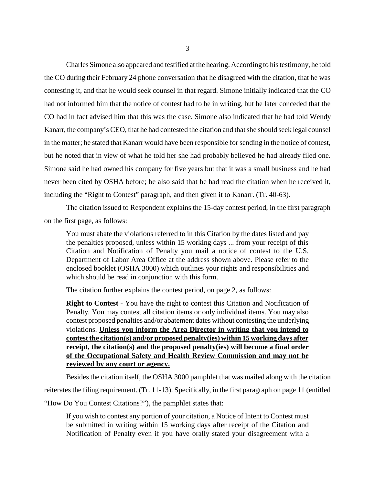Charles Simone also appeared and testified at the hearing. According to his testimony, he told the CO during their February 24 phone conversation that he disagreed with the citation, that he was contesting it, and that he would seek counsel in that regard. Simone initially indicated that the CO had not informed him that the notice of contest had to be in writing, but he later conceded that the CO had in fact advised him that this was the case. Simone also indicated that he had told Wendy Kanarr, the company's CEO, that he had contested the citation and that she should seek legal counsel in the matter; he stated that Kanarr would have been responsible for sending in the notice of contest, but he noted that in view of what he told her she had probably believed he had already filed one. Simone said he had owned his company for five years but that it was a small business and he had never been cited by OSHA before; he also said that he had read the citation when he received it, including the "Right to Contest" paragraph, and then given it to Kanarr. (Tr. 40-63).

The citation issued to Respondent explains the 15-day contest period, in the first paragraph on the first page, as follows:

You must abate the violations referred to in this Citation by the dates listed and pay the penalties proposed, unless within 15 working days ... from your receipt of this Citation and Notification of Penalty you mail a notice of contest to the U.S. Department of Labor Area Office at the address shown above. Please refer to the enclosed booklet (OSHA 3000) which outlines your rights and responsibilities and which should be read in conjunction with this form.

The citation further explains the contest period, on page 2, as follows:

**Right to Contest** - You have the right to contest this Citation and Notification of Penalty. You may contest all citation items or only individual items. You may also contest proposed penalties and/or abatement dates without contesting the underlying violations. **Unless you inform the Area Director in writing that you intend to contest the citation(s) and/or proposed penalty(ies) within 15 working days after receipt, the citation(s) and the proposed penalty(ies) will become a final order of the Occupational Safety and Health Review Commission and may not be reviewed by any court or agency.**

Besides the citation itself, the OSHA 3000 pamphlet that was mailed along with the citation

reiterates the filing requirement. (Tr. 11-13). Specifically, in the first paragraph on page 11 (entitled

"How Do You Contest Citations?"), the pamphlet states that:

If you wish to contest any portion of your citation, a Notice of Intent to Contest must be submitted in writing within 15 working days after receipt of the Citation and Notification of Penalty even if you have orally stated your disagreement with a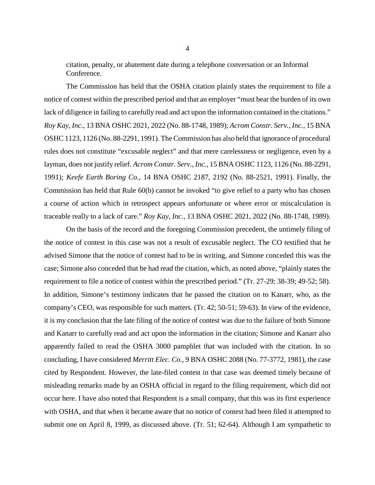citation, penalty, or abatement date during a telephone conversation or an Informal Conference.

The Commission has held that the OSHA citation plainly states the requirement to file a notice of contest within the prescribed period and that an employer "must bear the burden of its own lack of diligence in failing to carefully read and act upon the information contained in the citations." *Roy Kay, Inc.*, 13 BNA OSHC 2021, 2022 (No. 88-1748, 1989); *Acrom Constr. Serv., Inc.*, 15 BNA OSHC 1123, 1126 (No. 88-2291, 1991). The Commission has also held that ignorance of procedural rules does not constitute "excusable neglect" and that mere carelessness or negligence, even by a layman, does not justify relief. *Acrom Constr. Serv., Inc.*, 15 BNA OSHC 1123, 1126 (No. 88-2291, 1991); *Keefe Earth Boring Co.*, 14 BNA OSHC 2187, 2192 (No. 88-2521, 1991). Finally, the Commission has held that Rule 60(b) cannot be invoked "to give relief to a party who has chosen a course of action which in retrospect appears unfortunate or where error or miscalculation is traceable really to a lack of care." *Roy Kay, Inc.*, 13 BNA OSHC 2021, 2022 (No. 88-1748, 1989).

On the basis of the record and the foregoing Commission precedent, the untimely filing of the notice of contest in this case was not a result of excusable neglect. The CO testified that he advised Simone that the notice of contest had to be in writing, and Simone conceded this was the case; Simone also conceded that he had read the citation, which, as noted above, "plainly states the requirement to file a notice of contest within the prescribed period." (Tr. 27-29; 38-39; 49-52; 58). In addition, Simone's testimony indicates that he passed the citation on to Kanarr, who, as the company's CEO, was responsible for such matters. (Tr. 42; 50-51; 59-63). In view of the evidence, it is my conclusion that the late filing of the notice of contest was due to the failure of both Simone and Kanarr to carefully read and act upon the information in the citation; Simone and Kanarr also apparently failed to read the OSHA 3000 pamphlet that was included with the citation. In so concluding, I have considered *Merritt Elec. Co.*, 9 BNA OSHC 2088 (No. 77-3772, 1981), the case cited by Respondent. However, the late-filed contest in that case was deemed timely because of misleading remarks made by an OSHA official in regard to the filing requirement, which did not occur here. I have also noted that Respondent is a small company, that this was its first experience with OSHA, and that when it became aware that no notice of contest had been filed it attempted to submit one on April 8, 1999, as discussed above. (Tr. 51; 62-64). Although I am sympathetic to